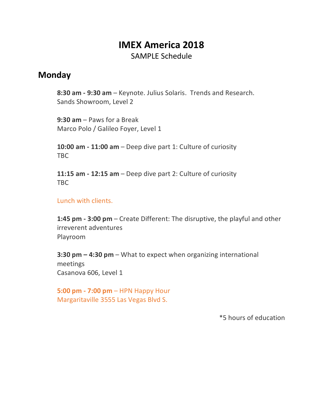# **IMEX America 2018** SAMPLE Schedule

#### **Monday**

**8:30 am - 9:30 am** – Keynote. Julius Solaris. Trends and Research. Sands Showroom, Level 2

**9:30 am** – Paws for a Break Marco Polo / Galileo Foyer, Level 1

**10:00 am - 11:00 am** – Deep dive part 1: Culture of curiosity TBC

**11:15 am - 12:15 am** – Deep dive part 2: Culture of curiosity TBC

Lunch with clients.

**1:45 pm - 3:00 pm** – Create Different: The disruptive, the playful and other irreverent adventures Playroom

**3:30 pm – 4:30 pm** – What to expect when organizing international meetings Casanova 606, Level 1

**5:00 pm - 7:00 pm** – HPN Happy Hour Margaritaville 3555 Las Vegas Blvd S.

\*5 hours of education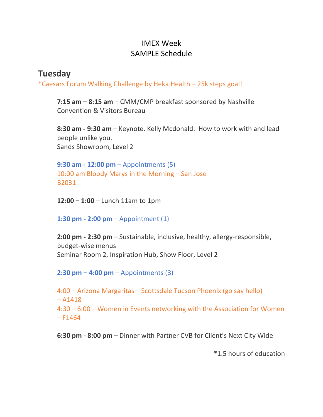## IMEX Week SAMPLE Schedule

## **Tuesday**

\*Caesars Forum Walking Challenge by Heka Health – 25k steps goal!

**7:15 am – 8:15 am** – CMM/CMP breakfast sponsored by Nashville Convention & Visitors Bureau

**8:30 am - 9:30 am** – Keynote. Kelly Mcdonald. How to work with and lead people unlike you. Sands Showroom, Level 2

**9:30 am - 12:00 pm** – Appointments (5) 10:00 am Bloody Marys in the Morning – San Jose B2031

**12:00 – 1:00** – Lunch 11am to 1pm

**1:30 pm - 2:00 pm** – Appointment (1)

**2:00 pm - 2:30 pm** – Sustainable, inclusive, healthy, allergy-responsible, budget-wise menus Seminar Room 2, Inspiration Hub, Show Floor, Level 2

**2:30 pm – 4:00 pm** – Appointments (3)

4:00 – Arizona Margaritas – Scottsdale Tucson Phoenix (go say hello)  $- A1418$ 4:30 – 6:00 – Women in Events networking with the Association for Women  $-$  F1464

**6:30 pm - 8:00 pm** – Dinner with Partner CVB for Client's Next City Wide

\*1.5 hours of education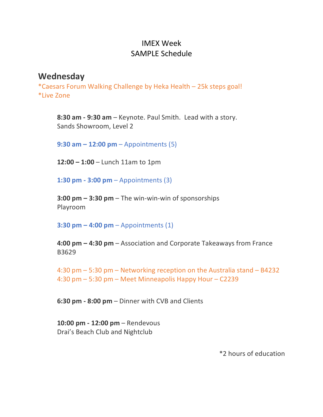### IMEX Week SAMPLE Schedule

#### **Wednesday**

\*Caesars Forum Walking Challenge by Heka Health – 25k steps goal! \*Live Zone

**8:30 am - 9:30 am** – Keynote. Paul Smith. Lead with a story. Sands Showroom, Level 2

**9:30 am – 12:00 pm** – Appointments (5)

**12:00 – 1:00** – Lunch 11am to 1pm

**1:30 pm - 3:00 pm** – Appointments (3)

**3:00 pm – 3:30 pm** – The win-win-win of sponsorships Playroom

**3:30 pm – 4:00 pm** – Appointments (1)

**4:00 pm – 4:30 pm** – Association and Corporate Takeaways from France B3629

4:30 pm – 5:30 pm – Networking reception on the Australia stand – B4232 4:30 pm – 5:30 pm – Meet Minneapolis Happy Hour – C2239

**6:30 pm - 8:00 pm** – Dinner with CVB and Clients

**10:00 pm - 12:00 pm** – Rendevous Drai's Beach Club and Nightclub

\*2 hours of education